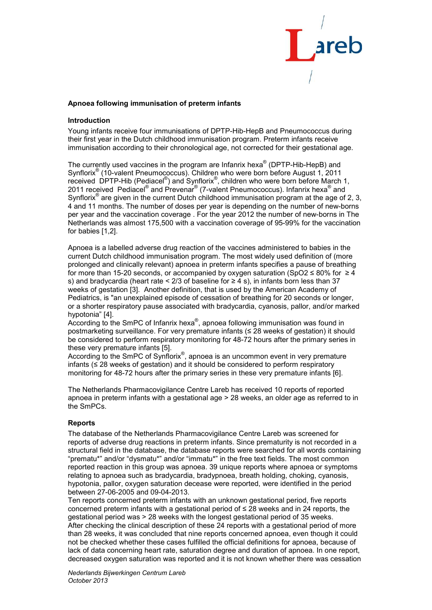

## **Apnoea following immunisation of preterm infants**

## **Introduction**

Young infants receive four immunisations of DPTP-Hib-HepB and Pneumococcus during their first year in the Dutch childhood immunisation program. Preterm infants receive immunisation according to their chronological age, not corrected for their gestational age.

The currently used vaccines in the program are Infanrix hexa<sup>®</sup> (DPTP-Hib-HepB) and Synflorix<sup>®</sup> (10-valent Pneumococcus). Children who were born before August 1, 2011 received DPTP-Hib (Pediacel<sup>®</sup>) and Synflorix<sup>®</sup>, children who were born before March 1, 2011 received Pediacel<sup>®</sup> and Prevenar<sup>®</sup> (7-valent Pneumococcus). Infanrix hexa<sup>®</sup> and Synflorix<sup>®</sup> are given in the current Dutch childhood immunisation program at the age of 2, 3, 4 and 11 months. The number of doses per year is depending on the number of new-borns per year and the vaccination coverage . For the year 2012 the number of new-borns in The Netherlands was almost 175,500 with a vaccination coverage of 95-99% for the vaccination for babies [1,2].

Apnoea is a labelled adverse drug reaction of the vaccines administered to babies in the current Dutch childhood immunisation program. The most widely used definition of (more prolonged and clinically relevant) apnoea in preterm infants specifies a pause of breathing for more than 15-20 seconds, or accompanied by oxygen saturation (SpO2 ≤ 80% for ≥ 4 s) and bradycardia (heart rate < 2/3 of baseline for  $\geq$  4 s), in infants born less than 37 weeks of gestation [3]. Another definition, that is used by the American Academy of Pediatrics, is "an unexplained episode of cessation of breathing for 20 seconds or longer, or a shorter respiratory pause associated with bradycardia, cyanosis, pallor, and/or marked hypotonia" [4].

According to the SmPC of Infanrix hexa<sup>®</sup>, apnoea following immunisation was found in postmarketing surveillance. For very premature infants (≤ 28 weeks of gestation) it should be considered to perform respiratory monitoring for 48-72 hours after the primary series in these very premature infants [5].

According to the SmPC of Synflorix<sup>®</sup>, apnoea is an uncommon event in very premature infants (≤ 28 weeks of gestation) and it should be considered to perform respiratory monitoring for 48-72 hours after the primary series in these very premature infants [6].

The Netherlands Pharmacovigilance Centre Lareb has received 10 reports of reported apnoea in preterm infants with a gestational age > 28 weeks, an older age as referred to in the SmPCs.

#### **Reports**

The database of the Netherlands Pharmacovigilance Centre Lareb was screened for reports of adverse drug reactions in preterm infants. Since prematurity is not recorded in a structural field in the database, the database reports were searched for all words containing "prematu\*" and/or "dysmatu\*" and/or "immatu\*" in the free text fields. The most common reported reaction in this group was apnoea. 39 unique reports where apnoea or symptoms relating to apnoea such as bradycardia, bradypnoea, breath holding, choking, cyanosis, hypotonia, pallor, oxygen saturation decease were reported, were identified in the period between 27-06-2005 and 09-04-2013.

Ten reports concerned preterm infants with an unknown gestational period, five reports concerned preterm infants with a gestational period of ≤ 28 weeks and in 24 reports, the gestational period was > 28 weeks with the longest gestational period of 35 weeks. After checking the clinical description of these 24 reports with a gestational period of more than 28 weeks, it was concluded that nine reports concerned apnoea, even though it could not be checked whether these cases fulfilled the official definitions for apnoea, because of lack of data concerning heart rate, saturation degree and duration of apnoea. In one report, decreased oxygen saturation was reported and it is not known whether there was cessation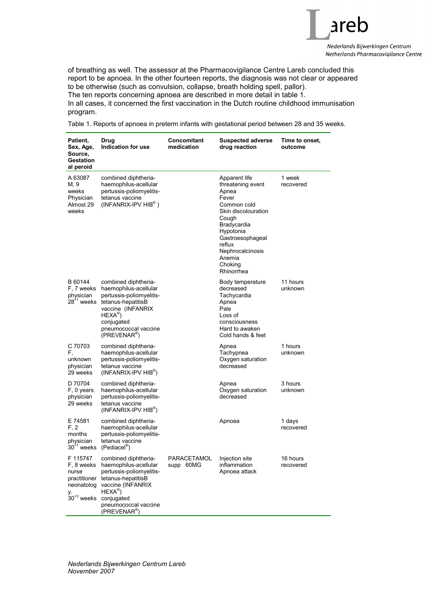

of breathing as well. The assessor at the Pharmacovigilance Centre Lareb concluded this report to be apnoea. In the other fourteen reports, the diagnosis was not clear or appeared to be otherwise (such as convulsion, collapse, breath holding spell, pallor). The ten reports concerning apnoea are described in more detail in table 1. In all cases, it concerned the first vaccination in the Dutch routine childhood immunisation program.

Table 1. Reports of apnoea in preterm infants with gestational period between 28 and 35 weeks.

| Patient,<br>Sex, Age,<br>Source,<br>Gestation<br>al peroid  | Drug<br>Indication for use                                                                                                                                                                                                                                     | Concomitant<br>medication | <b>Suspected adverse</b><br>drug reaction                                                                                                                                                                            | Time to onset,<br>outcome |
|-------------------------------------------------------------|----------------------------------------------------------------------------------------------------------------------------------------------------------------------------------------------------------------------------------------------------------------|---------------------------|----------------------------------------------------------------------------------------------------------------------------------------------------------------------------------------------------------------------|---------------------------|
| A 63087<br>M, 9<br>weeks<br>Physician<br>Almost 29<br>weeks | combined diphtheria-<br>haemophilus-acellular<br>pertussis-poliomyelitis-<br>tetanus vaccine<br>$(INFANRIX-IPV HIB^{\circledcirc})$                                                                                                                            |                           | Apparent life<br>threatening event<br>Apnea<br>Fever<br>Common cold<br>Skin discolouration<br>Cough<br>Bradycardia<br>Hypotonia<br>Gastroesophageal<br>reflux<br>Nephrocalcinosis<br>Anemia<br>Choking<br>Rhinorrhea | 1 week<br>recovered       |
| B 60144<br>F, 7 weeks<br>physician<br>$28+1$ weeks          | combined diphtheria-<br>haemophilus-acellular<br>pertussis-poliomyelitis-<br>tetanus-hepatitisB<br>vaccine (INFANRIX<br>$HEXA^{\circledR})$<br>conjugated<br>pneumococcal vaccine<br>(PREVENAR <sup>®</sup> )                                                  |                           | Body temperature<br>decreased<br>Tachycardia<br>Apnea<br>Pale<br>Loss of<br>consciousness<br>Hard to awaken<br>Cold hands & feet                                                                                     | 11 hours<br>unknown       |
| C 70703<br>F,<br>unknown<br>physician<br>29 weeks           | combined diphtheria-<br>haemophilus-acellular<br>pertussis-poliomyelitis-<br>tetanus vaccine<br>$(INFANRIX-IPV HIB^{\circ})$                                                                                                                                   |                           | Apnea<br>Tachypnea<br>Oxygen saturation<br>decreased                                                                                                                                                                 | 1 hours<br>unknown        |
| D 70704<br>F, 0 years<br>physician<br>29 weeks              | combined diphtheria-<br>haemophilus-acellular<br>pertussis-poliomyelitis-<br>tetanus vaccine<br>(INFANRIX-IPV HIB <sup>®</sup> )                                                                                                                               |                           | Apnea<br>Oxygen saturation<br>decreased                                                                                                                                                                              | 3 hours<br>unknown        |
| E 74581<br>F, 2<br>months<br>physician                      | combined diphtheria-<br>haemophilus-acellular<br>pertussis-poliomyelitis-<br>tetanus vaccine<br>$30^{11}$ weeks (Pediacel <sup>®</sup> )                                                                                                                       |                           | Apnoea                                                                                                                                                                                                               | 1 days<br>recovered       |
| nurse<br>neonatolog<br>у.                                   | F 115747 combined diphtheria-<br>F, 8 weeks haemophilus-acellular<br>pertussis-poliomyelitis-<br>practitioner tetanus-hepatitisB<br>vaccine (INFANRIX<br>$HEXA^{\circledR})$<br>$30^{+3}$ weeks conjugated<br>pneumococcal vaccine<br>(PREVENAR <sup>®</sup> ) | PARACETAMOL<br>supp 60MG  | Injection site<br>inflammation<br>Apnoea attack                                                                                                                                                                      | 16 hours<br>recovered     |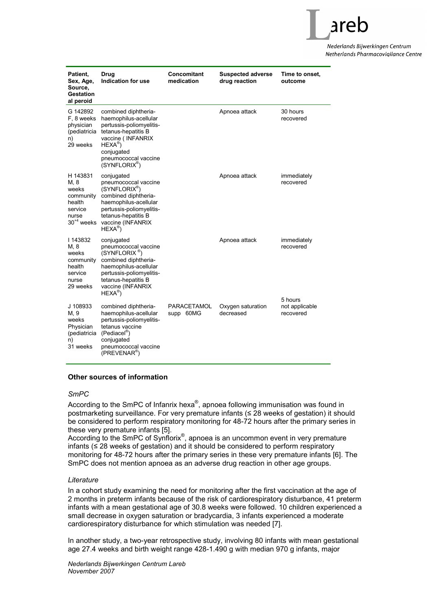

Nederlands Bijwerkingen Centrum Netherlands Pharmacoviailance Centre

| Patient,<br>Sex, Age,<br>Source,<br>Gestation<br>al peroid                              | Drug<br>Indication for use                                                                                                                                                                                      | Concomitant<br>medication | <b>Suspected adverse</b><br>drug reaction | Time to onset,<br>outcome              |
|-----------------------------------------------------------------------------------------|-----------------------------------------------------------------------------------------------------------------------------------------------------------------------------------------------------------------|---------------------------|-------------------------------------------|----------------------------------------|
| G 142892<br>F, 8 weeks<br>physician<br>(pediatricia<br>n)<br>29 weeks                   | combined diphtheria-<br>haemophilus-acellular<br>pertussis-poliomyelitis-<br>tetanus-hepatitis B<br>vaccine ( INFANRIX<br>$HEXA^{\circledR})$<br>conjugated<br>pneumococcal vaccine<br>$(SYNFLORIX^{\otimes})$  |                           | Apnoea attack                             | 30 hours<br>recovered                  |
| H 143831<br>M, 8<br>weeks<br>community<br>health<br>service<br>nurse<br>$30^{+4}$ weeks | conjugated<br>pneumococcal vaccine<br>$(SYNFLORIX^{\otimes})$<br>combined diphtheria-<br>haemophilus-acellular<br>pertussis-poliomyelitis-<br>tetanus-hepatitis B<br>vaccine (INFANRIX<br>$HEXA^{\circledR}$    |                           | Apnoea attack                             | immediately<br>recovered               |
| 143832<br>M, 8<br>weeks<br>community<br>health<br>service<br>nurse<br>29 weeks          | conjugated<br>pneumococcal vaccine<br>(SYNFLORIX <sup>®</sup> )<br>combined diphtheria-<br>haemophilus-acellular<br>pertussis-poliomyelitis-<br>tetanus-hepatitis B<br>vaccine (INFANRIX<br>$HEXA^{\circledR})$ |                           | Apnoea attack                             | immediately<br>recovered               |
| J 108933<br>M, 9<br>weeks<br>Physician<br>(pediatricia<br>n)<br>31 weeks                | combined diphtheria-<br>haemophilus-acellular<br>pertussis-poliomyelitis-<br>tetanus vaccine<br>$(PediaceI^{\circled{\circ}})$<br>conjugated<br>pneumococcal vaccine<br>(PREVENAR <sup>®</sup> )                | PARACETAMOL<br>supp 60MG  | Oxygen saturation<br>decreased            | 5 hours<br>not applicable<br>recovered |

# **Other sources of information**

#### *SmPC*

According to the SmPC of Infanrix hexa<sup>®</sup>, apnoea following immunisation was found in postmarketing surveillance. For very premature infants (≤ 28 weeks of gestation) it should be considered to perform respiratory monitoring for 48-72 hours after the primary series in these very premature infants [5].

According to the SmPC of Synflorix<sup>®</sup>, apnoea is an uncommon event in very premature infants (≤ 28 weeks of gestation) and it should be considered to perform respiratory monitoring for 48-72 hours after the primary series in these very premature infants [6]. The SmPC does not mention apnoea as an adverse drug reaction in other age groups.

#### *Literature*

In a cohort study examining the need for monitoring after the first vaccination at the age of 2 months in preterm infants because of the risk of cardiorespiratory disturbance, 41 preterm infants with a mean gestational age of 30.8 weeks were followed. 10 children experienced a small decrease in oxygen saturation or bradycardia, 3 infants experienced a moderate cardiorespiratory disturbance for which stimulation was needed [7].

In another study, a two-year retrospective study, involving 80 infants with mean gestational age 27.4 weeks and birth weight range 428-1.490 g with median 970 g infants, major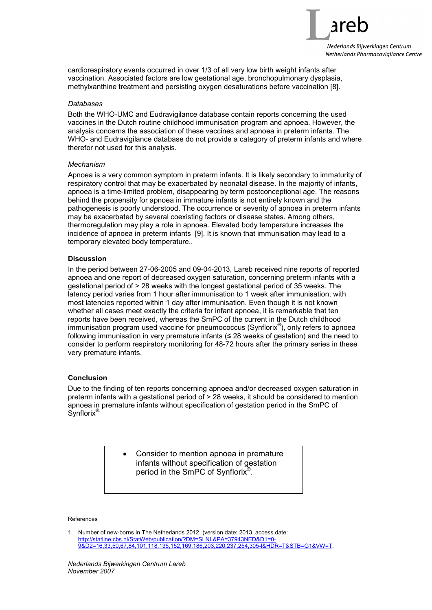

cardiorespiratory events occurred in over 1/3 of all very low birth weight infants after vaccination. Associated factors are low gestational age, bronchopulmonary dysplasia, methylxanthine treatment and persisting oxygen desaturations before vaccination [8].

# *Databases*

Both the WHO-UMC and Eudravigilance database contain reports concerning the used vaccines in the Dutch routine childhood immunisation program and apnoea. However, the analysis concerns the association of these vaccines and apnoea in preterm infants. The WHO- and Eudravigilance database do not provide a category of preterm infants and where therefor not used for this analysis.

#### *Mechanism*

Apnoea is a very common symptom in preterm infants. It is likely secondary to immaturity of respiratory control that may be exacerbated by neonatal disease. In the majority of infants, apnoea is a time-limited problem, disappearing by term postconceptional age. The reasons behind the propensity for apnoea in immature infants is not entirely known and the pathogenesis is poorly understood. The occurrence or severity of apnoea in preterm infants may be exacerbated by several coexisting factors or disease states. Among others, thermoregulation may play a role in apnoea. Elevated body temperature increases the incidence of apnoea in preterm infants [9]. It is known that immunisation may lead to a temporary elevated body temperature..

# **Discussion**

In the period between 27-06-2005 and 09-04-2013, Lareb received nine reports of reported apnoea and one report of decreased oxygen saturation, concerning preterm infants with a gestational period of > 28 weeks with the longest gestational period of 35 weeks. The latency period varies from 1 hour after immunisation to 1 week after immunisation, with most latencies reported within 1 day after immunisation. Even though it is not known whether all cases meet exactly the criteria for infant apnoea, it is remarkable that ten reports have been received, whereas the SmPC of the current in the Dutch childhood immunisation program used vaccine for pneumococcus (Synflorix®), only refers to apnoea following immunisation in very premature infants  $(\leq 28$  weeks of gestation) and the need to consider to perform respiratory monitoring for 48-72 hours after the primary series in these very premature infants.

# **Conclusion**

Due to the finding of ten reports concerning apnoea and/or decreased oxygen saturation in preterm infants with a gestational period of > 28 weeks, it should be considered to mention apnoea in premature infants without specification of gestation period in the SmPC of Synflorix<sup>®</sup>

> • Consider to mention apnoea in premature infants without specification of gestation period in the SmPC of Synflorix<sup>®</sup>.

#### References

1. Number of new-borns in The Netherlands 2012. (version date: 2013, access date: http://statline.cbs.nl/StatWeb/publication/?DM=SLNL&PA=37943NED&D1=0- 9&D2=16,33,50,67,84,101,118,135,152,169,186,203,220,237,254,305-l&HDR=T&STB=G1&VW=T.